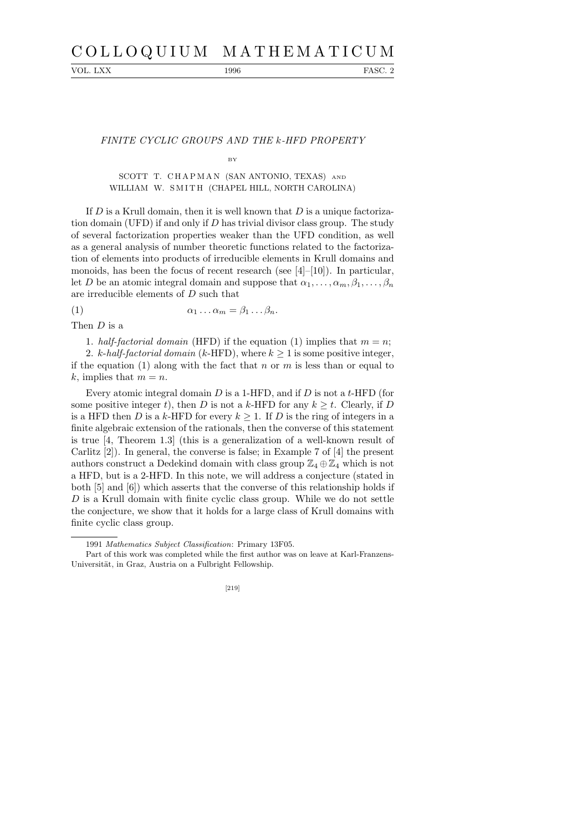# C O L L O Q U I U M M A T H E M A T I C U M

VOL. LXX 1996 FASC. 2

## FINITE CYCLIC GROUPS AND THE k-HFD PROPERTY

### BY

# SCOTT T. CHAPMAN (SAN ANTONIO, TEXAS) AND WILLIAM W. SMITH (CHAPEL HILL, NORTH CAROLINA)

If  $D$  is a Krull domain, then it is well known that  $D$  is a unique factorization domain (UFD) if and only if  $D$  has trivial divisor class group. The study of several factorization properties weaker than the UFD condition, as well as a general analysis of number theoretic functions related to the factorization of elements into products of irreducible elements in Krull domains and monoids, has been the focus of recent research (see  $[4]-[10]$ ). In particular, let D be an atomic integral domain and suppose that  $\alpha_1, \ldots, \alpha_m, \beta_1, \ldots, \beta_n$ are irreducible elements of D such that

(1)  $\alpha_1 \dots \alpha_m = \beta_1 \dots \beta_n.$ 

Then D is a

1. half-factorial domain (HFD) if the equation (1) implies that  $m = n$ ;

2. k-half-factorial domain (k-HFD), where  $k \geq 1$  is some positive integer, if the equation (1) along with the fact that n or m is less than or equal to k, implies that  $m = n$ .

Every atomic integral domain  $D$  is a 1-HFD, and if  $D$  is not a t-HFD (for some positive integer t), then D is not a k-HFD for any  $k > t$ . Clearly, if D is a HFD then D is a k-HFD for every  $k \geq 1$ . If D is the ring of integers in a finite algebraic extension of the rationals, then the converse of this statement is true [4, Theorem 1.3] (this is a generalization of a well-known result of Carlitz [2]). In general, the converse is false; in Example 7 of [4] the present authors construct a Dedekind domain with class group  $\mathbb{Z}_4 \oplus \mathbb{Z}_4$  which is not a HFD, but is a 2-HFD. In this note, we will address a conjecture (stated in both [5] and [6]) which asserts that the converse of this relationship holds if  $D$  is a Krull domain with finite cyclic class group. While we do not settle the conjecture, we show that it holds for a large class of Krull domains with finite cyclic class group.

[219]

<sup>1991</sup> *Mathematics Subject Classification*: Primary 13F05.

Part of this work was completed while the first author was on leave at Karl-Franzens-Universität, in Graz, Austria on a Fulbright Fellowship.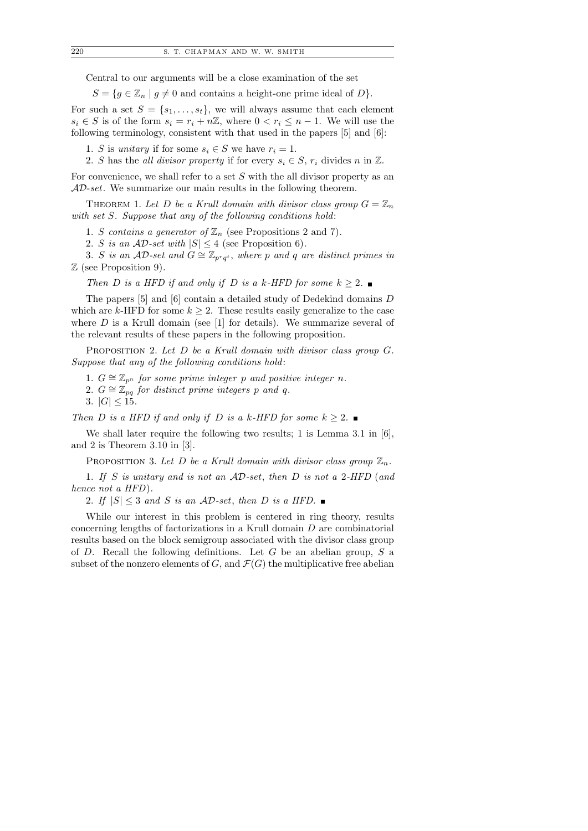Central to our arguments will be a close examination of the set

 $S = \{g \in \mathbb{Z}_n \mid g \neq 0 \text{ and contains a height-one prime ideal of } D\}.$ 

For such a set  $S = \{s_1, \ldots, s_t\}$ , we will always assume that each element  $s_i \in S$  is of the form  $s_i = r_i + n\mathbb{Z}$ , where  $0 < r_i \leq n-1$ . We will use the following terminology, consistent with that used in the papers [5] and [6]:

1. S is unitary if for some  $s_i \in S$  we have  $r_i = 1$ .

2. S has the all divisor property if for every  $s_i \in S$ ,  $r_i$  divides n in  $\mathbb{Z}$ .

For convenience, we shall refer to a set S with the all divisor property as an  $AD\text{-}set$ . We summarize our main results in the following theorem.

THEOREM 1. Let D be a Krull domain with divisor class group  $G = \mathbb{Z}_n$ with set S. Suppose that any of the following conditions hold:

1. S contains a generator of  $\mathbb{Z}_n$  (see Propositions 2 and 7).

2. S is an  $AD\text{-}set$  with  $|S| \leq 4$  (see Proposition 6).

3. S is an AD-set and  $G \cong \mathbb{Z}_{p^r q^t}$ , where p and q are distinct primes in Z (see Proposition 9).

Then D is a HFD if and only if D is a k-HFD for some  $k \geq 2$ .

The papers [5] and [6] contain a detailed study of Dedekind domains D which are k-HFD for some  $k \geq 2$ . These results easily generalize to the case where  $D$  is a Krull domain (see [1] for details). We summarize several of the relevant results of these papers in the following proposition.

PROPOSITION 2. Let D be a Krull domain with divisor class group G. Suppose that any of the following conditions hold:

- 1.  $G \cong \mathbb{Z}_{p^n}$  for some prime integer p and positive integer n.
- 2.  $G \cong \mathbb{Z}_{pq}$  for distinct prime integers p and q.

3.  $|G| \le 15$ .

Then D is a HFD if and only if D is a k-HFD for some  $k \geq 2$ .

We shall later require the following two results; 1 is Lemma 3.1 in [6], and 2 is Theorem 3.10 in [3].

PROPOSITION 3. Let D be a Krull domain with divisor class group  $\mathbb{Z}_n$ .

1. If S is unitary and is not an AD-set, then D is not a 2-HFD (and hence not a HFD).

2. If  $|S| \leq 3$  and S is an AD-set, then D is a HFD.

While our interest in this problem is centered in ring theory, results concerning lengths of factorizations in a Krull domain D are combinatorial results based on the block semigroup associated with the divisor class group of  $D$ . Recall the following definitions. Let  $G$  be an abelian group,  $S$  a subset of the nonzero elements of G, and  $\mathcal{F}(G)$  the multiplicative free abelian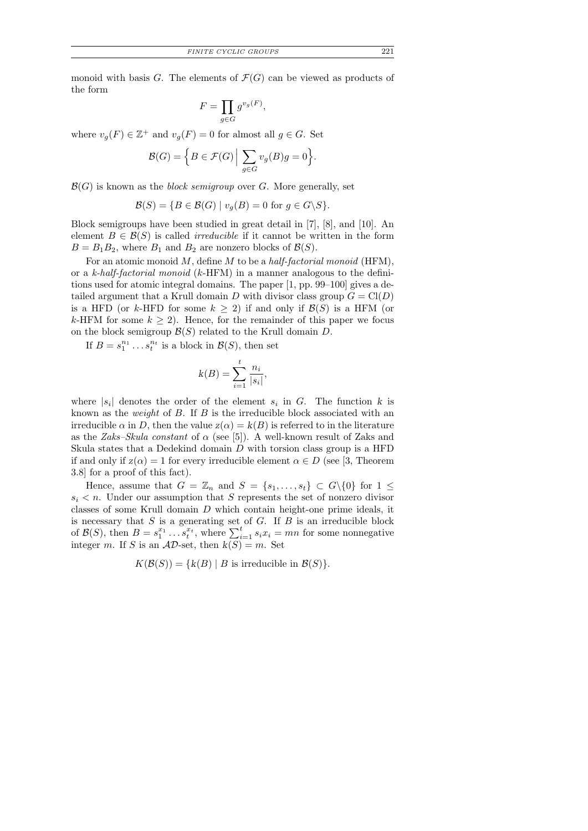monoid with basis G. The elements of  $\mathcal{F}(G)$  can be viewed as products of the form

$$
F = \prod_{g \in G} g^{v_g(F)},
$$

where  $v_g(F) \in \mathbb{Z}^+$  and  $v_g(F) = 0$  for almost all  $g \in G$ . Set

$$
\mathcal{B}(G) = \Big\{ B \in \mathcal{F}(G) \Big| \sum_{g \in G} v_g(B)g = 0 \Big\}.
$$

 $\mathcal{B}(G)$  is known as the *block semigroup* over G. More generally, set

$$
\mathcal{B}(S) = \{ B \in \mathcal{B}(G) \mid v_g(B) = 0 \text{ for } g \in G \backslash S \}.
$$

Block semigroups have been studied in great detail in [7], [8], and [10]. An element  $B \in \mathcal{B}(S)$  is called *irreducible* if it cannot be written in the form  $B = B_1 B_2$ , where  $B_1$  and  $B_2$  are nonzero blocks of  $\mathcal{B}(S)$ .

For an atomic monoid  $M$ , define  $M$  to be a half-factorial monoid (HFM), or a k-half-factorial monoid (k-HFM) in a manner analogous to the definitions used for atomic integral domains. The paper [1, pp. 99–100] gives a detailed argument that a Krull domain D with divisor class group  $G = Cl(D)$ is a HFD (or k-HFD for some  $k \geq 2$ ) if and only if  $\mathcal{B}(S)$  is a HFM (or k-HFM for some  $k \geq 2$ ). Hence, for the remainder of this paper we focus on the block semigroup  $\mathcal{B}(S)$  related to the Krull domain D.

If  $B = s_1^{n_1} \dots s_t^{n_t}$  is a block in  $\mathcal{B}(S)$ , then set

$$
k(B) = \sum_{i=1}^{t} \frac{n_i}{|s_i|}
$$

,

where  $|s_i|$  denotes the order of the element  $s_i$  in G. The function k is known as the *weight* of  $B$ . If  $B$  is the irreducible block associated with an irreducible  $\alpha$  in D, then the value  $z(\alpha) = k(B)$  is referred to in the literature as the Zaks–Skula constant of  $\alpha$  (see [5]). A well-known result of Zaks and Skula states that a Dedekind domain  $D$  with torsion class group is a HFD if and only if  $z(\alpha) = 1$  for every irreducible element  $\alpha \in D$  (see [3, Theorem 3.8] for a proof of this fact).

Hence, assume that  $G = \mathbb{Z}_n$  and  $S = \{s_1, \ldots, s_t\} \subset G \setminus \{0\}$  for  $1 \leq$  $s_i < n$ . Under our assumption that S represents the set of nonzero divisor classes of some Krull domain D which contain height-one prime ideals, it is necessary that  $S$  is a generating set of  $G$ . If  $B$  is an irreducible block of  $\mathcal{B}(S)$ , then  $B = s_1^{x_1} \dots s_t^{x_t}$ , where  $\sum_{i=1}^t s_i x_i = mn$  for some nonnegative integer m. If S is an  $AD$ -set, then  $k(S) = m$ . Set

 $K(\mathcal{B}(S)) = \{k(B) | B \text{ is irreducible in } \mathcal{B}(S)\}.$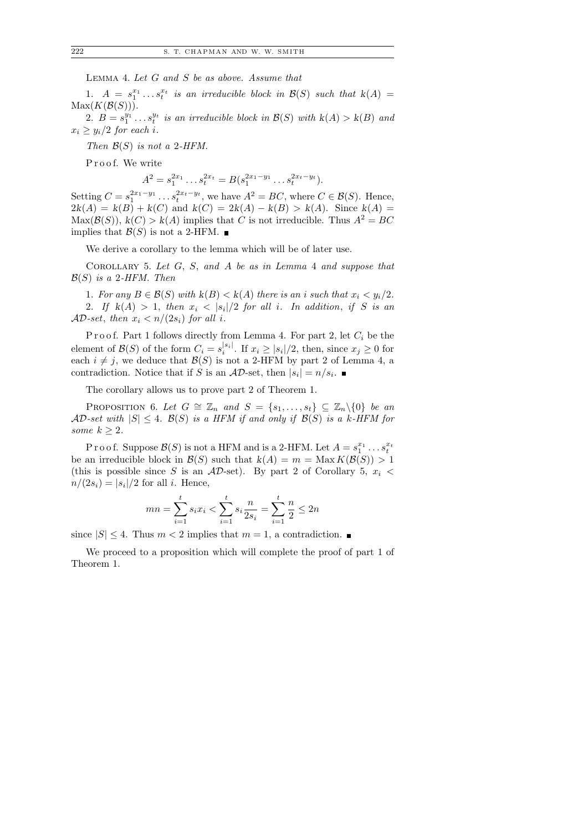Lemma 4. Let G and S be as above. Assume that

1.  $A = s_1^{x_1} \ldots s_t^{x_t}$  is an irreducible block in  $\mathcal{B}(S)$  such that  $k(A) =$  $Max(K(\mathcal{B}(S))).$ 

2.  $B = s_1^{y_1} \ldots s_t^{y_t}$  is an irreducible block in  $\mathcal{B}(S)$  with  $k(A) > k(B)$  and  $x_i \geq y_i/2$  for each i.

Then  $\mathcal{B}(S)$  is not a 2-HFM.

Proof. We write

 $A^2 = s_1^{2x_1} \dots s_t^{2x_t} = B(s_1^{2x_1-y_1} \dots s_t^{2x_t-y_t}).$ 

Setting  $C = s_1^{2x_1-y_1} \dots s_t^{2x_t-y_t}$ , we have  $A^2 = BC$ , where  $C \in \mathcal{B}(S)$ . Hence,  $2k(A) = k(B) + k(C)$  and  $k(C) = 2k(A) - k(B) > k(A)$ . Since  $k(A) =$  $Max(\mathcal{B}(S))$ ,  $k(C) > k(A)$  implies that C is not irreducible. Thus  $A^2 = BC$ implies that  $\mathcal{B}(S)$  is not a 2-HFM.  $\blacksquare$ 

We derive a corollary to the lemma which will be of later use.

COROLLARY 5. Let  $G$ ,  $S$ , and  $A$  be as in Lemma 4 and suppose that  $\mathcal{B}(S)$  is a 2-HFM. Then

1. For any  $B \in \mathcal{B}(S)$  with  $k(B) < k(A)$  there is an i such that  $x_i < y_i/2$ . 2. If  $k(A) > 1$ , then  $x_i < |s_i|/2$  for all i. In addition, if S is an  $AD\text{-}set$ , then  $x_i < n/(2s_i)$  for all i.

P r o o f. Part 1 follows directly from Lemma 4. For part 2, let  $C_i$  be the element of  $\mathcal{B}(S)$  of the form  $C_i = s_i^{|s_i|}$  $\sum_{i=1}^{|s_i|}$ . If  $x_i \geq |s_i|/2$ , then, since  $x_j \geq 0$  for each  $i \neq j$ , we deduce that  $\mathcal{B}(S)$  is not a 2-HFM by part 2 of Lemma 4, a contradiction. Notice that if S is an  $AD$ -set, then  $|s_i| = n/s_i$ .

The corollary allows us to prove part 2 of Theorem 1.

PROPOSITION 6. Let  $G \cong \mathbb{Z}_n$  and  $S = \{s_1, \ldots, s_t\} \subseteq \mathbb{Z}_n \backslash \{0\}$  be an  $AD\text{-}set with  $|S| \leq 4$ .  $\mathcal{B}(S)$  is a HFM if and only if  $\mathcal{B}(S)$  is a k-HFM for$ some  $k \geq 2$ .

P r o o f. Suppose  $\mathcal{B}(S)$  is not a HFM and is a 2-HFM. Let  $A = s_1^{x_1} \dots s_t^{x_t}$ be an irreducible block in  $\mathcal{B}(S)$  such that  $k(A) = m = \text{Max } K(\mathcal{B}(S)) > 1$ (this is possible since S is an  $AD$ -set). By part 2 of Corollary 5,  $x_i$  <  $n/(2s_i) = |s_i|/2$  for all *i*. Hence,

$$
mn = \sum_{i=1}^{t} s_i x_i < \sum_{i=1}^{t} s_i \frac{n}{2s_i} = \sum_{i=1}^{t} \frac{n}{2} \le 2n
$$

since  $|S| \leq 4$ . Thus  $m < 2$  implies that  $m = 1$ , a contradiction.

We proceed to a proposition which will complete the proof of part 1 of Theorem 1.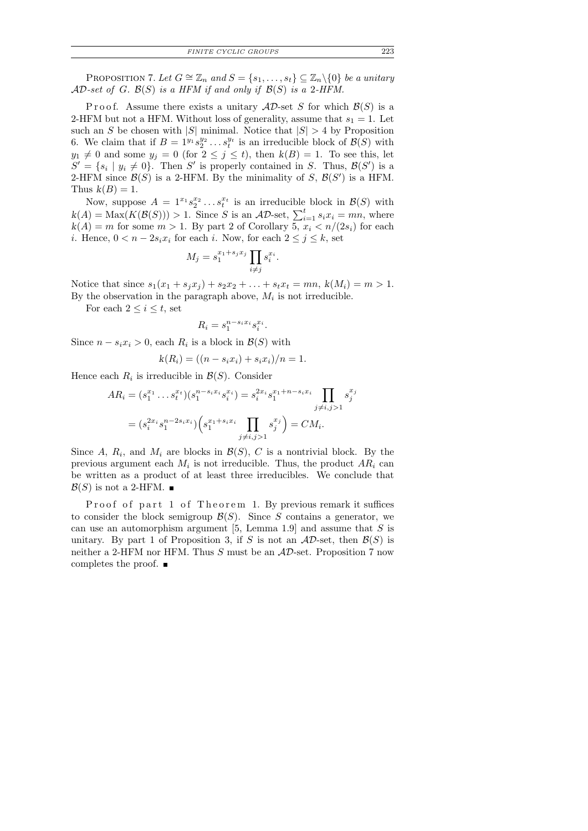*FINITE CYCLIC GROUPS* 223

PROPOSITION 7. Let  $G \cong \mathbb{Z}_n$  and  $S = \{s_1, \ldots, s_t\} \subseteq \mathbb{Z}_n \backslash \{0\}$  be a unitary  $AD\text{-}set$  of G.  $\mathcal{B}(S)$  is a HFM if and only if  $\mathcal{B}(S)$  is a 2-HFM.

Proof. Assume there exists a unitary  $AD$ -set S for which  $\mathcal{B}(S)$  is a 2-HFM but not a HFM. Without loss of generality, assume that  $s_1 = 1$ . Let such an S be chosen with  $|S|$  minimal. Notice that  $|S| > 4$  by Proposition 6. We claim that if  $B = 1^{y_1} s_2^{y_2} \dots s_t^{y_t}$  is an irreducible block of  $\mathcal{B}(S)$  with  $y_1 \neq 0$  and some  $y_j = 0$  (for  $2 \leq j \leq t$ ), then  $k(B) = 1$ . To see this, let  $S' = \{s_i \mid y_i \neq 0\}$ . Then S' is properly contained in S. Thus,  $\mathcal{B}(S')$  is a 2-HFM since  $\mathcal{B}(S)$  is a 2-HFM. By the minimality of S,  $\mathcal{B}(S')$  is a HFM. Thus  $k(B) = 1$ .

Now, suppose  $A = 1^{x_1} s_2^{x_2} \dots s_t^{x_t}$  is an irreducible block in  $\mathcal{B}(S)$  with  $k(A) = \text{Max}(K(\mathcal{B}(S))) > 1$ . Since S is an  $AD$ -set,  $\sum_{i=1}^{t} s_i x_i = mn$ , where  $k(A) = m$  for some  $m > 1$ . By part 2 of Corollary 5,  $x_i < n/(2s_i)$  for each *i*. Hence,  $0 < n - 2s_i x_i$  for each *i*. Now, for each  $2 \leq j \leq k$ , set

$$
M_j = s_1^{x_1 + s_j x_j} \prod_{i \neq j} s_i^{x_i}.
$$

Notice that since  $s_1(x_1 + s_jx_j) + s_2x_2 + \ldots + s_tx_t = mn, k(M_i) = m > 1.$ By the observation in the paragraph above,  $M_i$  is not irreducible.

For each  $2 \leq i \leq t$ , set

$$
R_i = s_1^{n-s_ix_i} s_i^{x_i}
$$

.

Since  $n - s_i x_i > 0$ , each  $R_i$  is a block in  $\mathcal{B}(S)$  with

$$
k(R_i) = ((n - s_i x_i) + s_i x_i)/n = 1.
$$

Hence each  $R_i$  is irreducible in  $\mathcal{B}(S)$ . Consider

$$
AR_i = (s_1^{x_1} \dots s_t^{x_t})(s_1^{n-s_ix_i}s_i^{x_i}) = s_i^{2x_i}s_1^{x_1+n-s_ix_i} \prod_{j \neq i, j>1} s_j^{x_j}
$$
  
= 
$$
(s_i^{2x_i}s_1^{n-2s_ix_i}) \left(s_1^{x_1+s_ix_i} \prod_{j \neq i, j>1} s_j^{x_j}\right) = CM_i.
$$

Since A,  $R_i$ , and  $M_i$  are blocks in  $\mathcal{B}(S)$ , C is a nontrivial block. By the previous argument each  $M_i$  is not irreducible. Thus, the product  $AR_i$  can be written as a product of at least three irreducibles. We conclude that  $\mathcal{B}(S)$  is not a 2-HFM.  $\blacksquare$ 

Proof of part 1 of Theorem 1. By previous remark it suffices to consider the block semigroup  $\mathcal{B}(S)$ . Since S contains a generator, we can use an automorphism argument  $[5, \text{ Lemma } 1.9]$  and assume that S is unitary. By part 1 of Proposition 3, if S is not an  $AD$ -set, then  $\mathcal{B}(S)$  is neither a 2-HFM nor HFM. Thus  $S$  must be an  $AD$ -set. Proposition 7 now completes the proof.  $\blacksquare$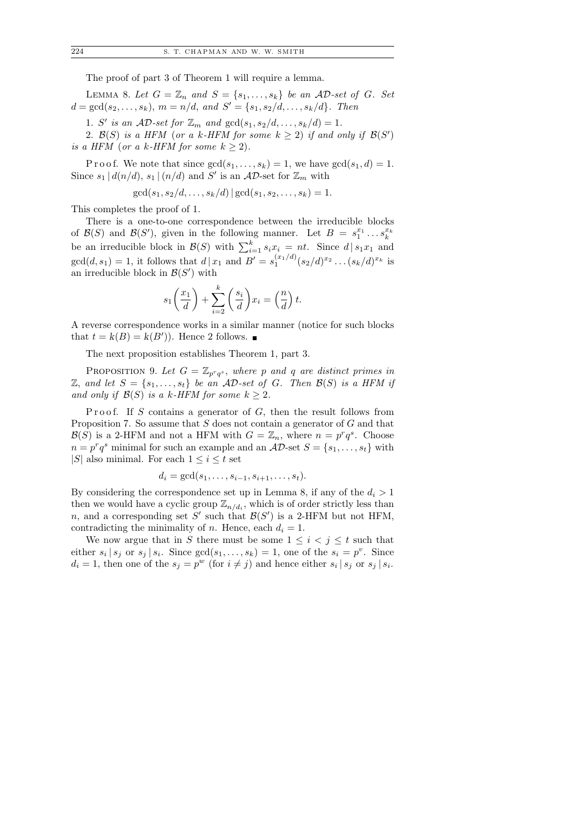The proof of part 3 of Theorem 1 will require a lemma.

LEMMA 8. Let  $G = \mathbb{Z}_n$  and  $S = \{s_1, \ldots, s_k\}$  be an AD-set of G. Set  $d = \gcd(s_2, \ldots, s_k), m = n/d, \text{ and } S' = \{s_1, s_2/d, \ldots, s_k/d\}.$  Then

1. S' is an  $AD\text{-}set$  for  $\mathbb{Z}_m$  and  $gcd(s_1, s_2/d, \ldots, s_k/d) = 1$ .

2.  $\mathcal{B}(S)$  is a HFM (or a k-HFM for some  $k \geq 2$ ) if and only if  $\mathcal{B}(S')$ is a HFM (or a k-HFM for some  $k \geq 2$ ).

P r o o f. We note that since  $gcd(s_1, \ldots, s_k) = 1$ , we have  $gcd(s_1, d) = 1$ . Since  $s_1 | d(n/d), s_1 | (n/d)$  and  $S'$  is an AD-set for  $\mathbb{Z}_m$  with

$$
\gcd(s_1, s_2/d, \ldots, s_k/d) | \gcd(s_1, s_2, \ldots, s_k) = 1.
$$

This completes the proof of 1.

There is a one-to-one correspondence between the irreducible blocks of  $\mathcal{B}(S)$  and  $\mathcal{B}(S')$ , given in the following manner. Let  $B = s_1^{x_1} \dots s_k^{x_k}$ be an irreducible block in  $\mathcal{B}(S)$  with  $\sum_{i=1}^{k} s_i x_i = nt$ . Since  $d | s_1 x_1$  and  $gcd(d, s_1) = 1$ , it follows that  $d | x_1$  and  $B' = s_1^{(x_1/d)}(s_2/d)^{x_2} \dots (s_k/d)^{x_k}$  is an irreducible block in  $\mathcal{B}(S')$  with

$$
s_1\left(\frac{x_1}{d}\right) + \sum_{i=2}^k \left(\frac{s_i}{d}\right) x_i = \left(\frac{n}{d}\right)t.
$$

A reverse correspondence works in a similar manner (notice for such blocks that  $t = k(B) = k(B')$ . Hence 2 follows.

The next proposition establishes Theorem 1, part 3.

PROPOSITION 9. Let  $G = \mathbb{Z}_{p^r q^s}$ , where p and q are distinct primes in  $\mathbb{Z}$ , and let  $S = \{s_1, \ldots, s_t\}$  be an AD-set of G. Then  $\mathcal{B}(S)$  is a HFM if and only if  $\mathcal{B}(S)$  is a k-HFM for some  $k \geq 2$ .

Proof. If S contains a generator of  $G$ , then the result follows from Proposition 7. So assume that  $S$  does not contain a generator of  $G$  and that  $\mathcal{B}(S)$  is a 2-HFM and not a HFM with  $G = \mathbb{Z}_n$ , where  $n = p^r q^s$ . Choose  $n = p^r q^s$  minimal for such an example and an  $AD$ -set  $S = \{s_1, \ldots, s_t\}$  with |S| also minimal. For each  $1 \leq i \leq t$  set

$$
d_i = \gcd(s_1, \ldots, s_{i-1}, s_{i+1}, \ldots, s_t).
$$

By considering the correspondence set up in Lemma 8, if any of the  $d_i > 1$ then we would have a cyclic group  $\mathbb{Z}_{n/d_i}$ , which is of order strictly less than n, and a corresponding set S' such that  $\mathcal{B}(S')$  is a 2-HFM but not HFM, contradicting the minimality of *n*. Hence, each  $d_i = 1$ .

We now argue that in S there must be some  $1 \leq i \leq j \leq t$  such that either  $s_i | s_j$  or  $s_j | s_i$ . Since  $gcd(s_1, ..., s_k) = 1$ , one of the  $s_i = p^v$ . Since  $d_i = 1$ , then one of the  $s_j = p^w$  (for  $i \neq j$ ) and hence either  $s_i | s_j$  or  $s_j | s_i$ .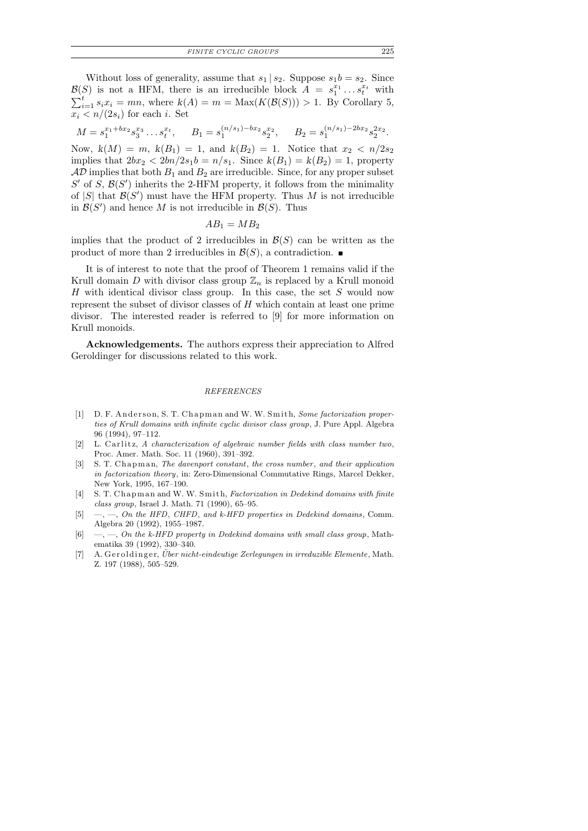*FINITE CYCLIC GROUPS* 225

Without loss of generality, assume that  $s_1 | s_2$ . Suppose  $s_1 b = s_2$ . Since  $\mathcal{B}(S)$  is not a HFM, there is an irreducible block  $A = s_1^{x_1} \dots s_t^{x_t}$  with  $\sum_{i=1}^t s_i x_i = mn$ , where  $k(A) = m = \text{Max}(K(\mathcal{B}(S))) > 1$ . By Corollary 5,  $x_i < n/(2s_i)$  for each i. Set

$$
M = s_1^{x_1 + bx_2} s_3^{x_3} \dots s_t^{x_t}, \qquad B_1 = s_1^{(n/s_1) - bx_2} s_2^{x_2}, \qquad B_2 = s_1^{(n/s_1) - 2bx_2} s_2^{2x_2}.
$$

Now,  $k(M) = m$ ,  $k(B_1) = 1$ , and  $k(B_2) = 1$ . Notice that  $x_2 < n/2s_2$ implies that  $2bx_2 < 2bn/2s_1b = n/s_1$ . Since  $k(B_1) = k(B_2) = 1$ , property  $AD$  implies that both  $B_1$  and  $B_2$  are irreducible. Since, for any proper subset  $S'$  of  $S$ ,  $\mathcal{B}(S')$  inherits the 2-HFM property, it follows from the minimality of  $|S|$  that  $\mathcal{B}(S')$  must have the HFM property. Thus M is not irreducible in  $\mathcal{B}(S')$  and hence M is not irreducible in  $\mathcal{B}(S)$ . Thus

$$
AB_1 = MB_2
$$

implies that the product of 2 irreducibles in  $\mathcal{B}(S)$  can be written as the product of more than 2 irreducibles in  $\mathcal{B}(S)$ , a contradiction.

It is of interest to note that the proof of Theorem 1 remains valid if the Krull domain D with divisor class group  $\mathbb{Z}_n$  is replaced by a Krull monoid  $H$  with identical divisor class group. In this case, the set  $S$  would now represent the subset of divisor classes of H which contain at least one prime divisor. The interested reader is referred to [9] for more information on Krull monoids.

Acknowledgements. The authors express their appreciation to Alfred Geroldinger for discussions related to this work.

### *REFERENCES*

- [1] D. F. Anderson, S. T. Chapman and W. W. Smith, *Some factorization properties of Krull domains with infinite cyclic divisor class group*, J. Pure Appl. Algebra 96 (1994), 97–112.
- [2] L. Carlitz, *A characterization of algebraic number fields with class number two*, Proc. Amer. Math. Soc. 11 (1960), 391–392.
- [3] S. T. Chapman, *The davenport constant*, *the cross number*, *and their application in factorization theory*, in: Zero-Dimensional Commutative Rings, Marcel Dekker, New York, 1995, 167–190.
- [4] S. T. Chapman and W. W. Smith, *Factorization in Dedekind domains with finite class group*, Israel J. Math. 71 (1990), 65–95.
- [5] —, —, *On the HFD*, *CHFD*, *and k-HFD properties in Dedekind domains*, Comm. Algebra 20 (1992), 1955–1987.
- [6] —, —, *On the k-HFD property in Dedekind domains with small class group*, Mathematika 39 (1992), 330–340.
- [7] A. Geroldinger, *Über nicht-eindeutige Zerlegungen in irreduzible Elemente*, Math. Z. 197 (1988), 505–529.